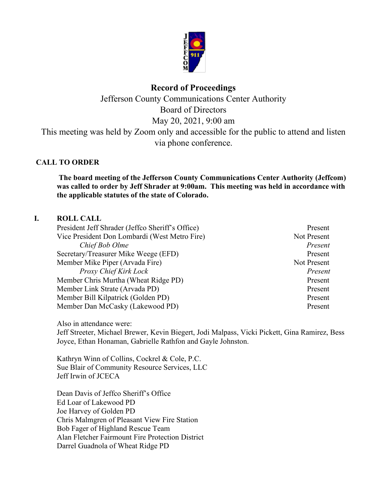

# **Record of Proceedings**

Jefferson County Communications Center Authority Board of Directors May 20, 2021, 9:00 am This meeting was held by Zoom only and accessible for the public to attend and listen

via phone conference.

### **CALL TO ORDER**

**The board meeting of the Jefferson County Communications Center Authority (Jeffcom) was called to order by Jeff Shrader at 9:00am. This meeting was held in accordance with the applicable statutes of the state of Colorado.**

#### **I. ROLL CALL**

| Present     |
|-------------|
| Not Present |
| Present     |
| Present     |
| Not Present |
| Present     |
| Present     |
| Present     |
| Present     |
| Present     |
|             |

Also in attendance were: Jeff Streeter, Michael Brewer, Kevin Biegert, Jodi Malpass, Vicki Pickett, Gina Ramirez, Bess Joyce, Ethan Honaman, Gabrielle Rathfon and Gayle Johnston.

Kathryn Winn of Collins, Cockrel & Cole, P.C. Sue Blair of Community Resource Services, LLC Jeff Irwin of JCECA

Dean Davis of Jeffco Sheriff's Office Ed Loar of Lakewood PD Joe Harvey of Golden PD Chris Malmgren of Pleasant View Fire Station Bob Fager of Highland Rescue Team Alan Fletcher Fairmount Fire Protection District Darrel Guadnola of Wheat Ridge PD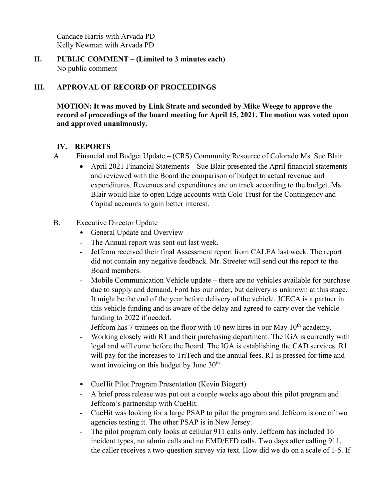Candace Harris with Arvada PD Kelly Newman with Arvada PD

**II. PUBLIC COMMENT – (Limited to 3 minutes each)** No public comment

### **III. APPROVAL OF RECORD OF PROCEEDINGS**

**MOTION: It was moved by Link Strate and seconded by Mike Weege to approve the record of proceedings of the board meeting for April 15, 2021. The motion was voted upon and approved unanimously.**

### **IV. REPORTS**

- A. Financial and Budget Update (CRS) Community Resource of Colorado Ms. Sue Blair
	- April 2021 Financial Statements Sue Blair presented the April financial statements and reviewed with the Board the comparison of budget to actual revenue and expenditures. Revenues and expenditures are on track according to the budget. Ms. Blair would like to open Edge accounts with Colo Trust for the Contingency and Capital accounts to gain better interest.
- B. Executive Director Update
	- General Update and Overview
	- The Annual report was sent out last week.
	- Jeffcom received their final Assessment report from CALEA last week. The report did not contain any negative feedback. Mr. Streeter will send out the report to the Board members.
	- Mobile Communication Vehicle update there are no vehicles available for purchase due to supply and demand. Ford has our order, but delivery is unknown at this stage. It might be the end of the year before delivery of the vehicle. JCECA is a partner in this vehicle funding and is aware of the delay and agreed to carry over the vehicle funding to 2022 if needed.
	- Jeffcom has 7 trainees on the floor with 10 new hires in our May  $10<sup>th</sup>$  academy.
	- Working closely with R1 and their purchasing department. The IGA is currently with legal and will come before the Board. The IGA is establishing the CAD services. R1 will pay for the increases to TriTech and the annual fees. R1 is pressed for time and want invoicing on this budget by June  $30<sup>th</sup>$ .
	- CueHit Pilot Program Presentation (Kevin Biegert)
	- A brief press release was put out a couple weeks ago about this pilot program and Jeffcom's partnership with CueHit.
	- CueHit was looking for a large PSAP to pilot the program and Jeffcom is one of two agencies testing it. The other PSAP is in New Jersey.
	- The pilot program only looks at cellular 911 calls only. Jeffcom has included 16 incident types, no admin calls and no EMD/EFD calls. Two days after calling 911, the caller receives a two-question survey via text. How did we do on a scale of 1-5. If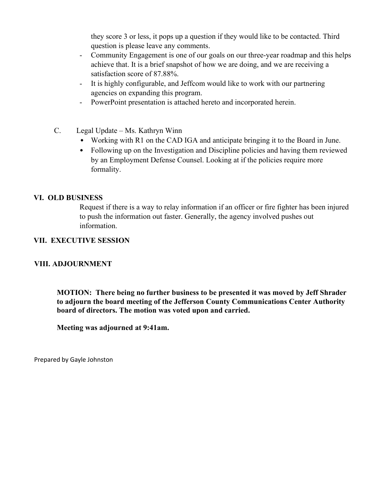they score 3 or less, it pops up a question if they would like to be contacted. Third question is please leave any comments.

- Community Engagement is one of our goals on our three-year roadmap and this helps achieve that. It is a brief snapshot of how we are doing, and we are receiving a satisfaction score of 87.88%.
- It is highly configurable, and Jeffcom would like to work with our partnering agencies on expanding this program.
- PowerPoint presentation is attached hereto and incorporated herein.
- C. Legal Update Ms. Kathryn Winn
	- Working with R1 on the CAD IGA and anticipate bringing it to the Board in June.
	- Following up on the Investigation and Discipline policies and having them reviewed by an Employment Defense Counsel. Looking at if the policies require more formality.

#### **VI. OLD BUSINESS**

Request if there is a way to relay information if an officer or fire fighter has been injured to push the information out faster. Generally, the agency involved pushes out information.

#### **VII. EXECUTIVE SESSION**

#### **VIII. ADJOURNMENT**

**MOTION: There being no further business to be presented it was moved by Jeff Shrader to adjourn the board meeting of the Jefferson County Communications Center Authority board of directors. The motion was voted upon and carried.**

**Meeting was adjourned at 9:41am.**

Prepared by Gayle Johnston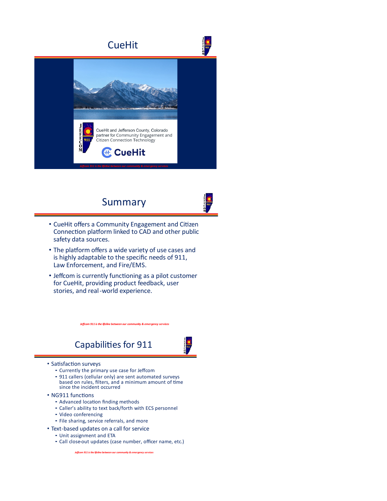

# Summary



- CueHit offers a Community Engagement and Citizen Connection platform linked to CAD and other public safety data sources.
- The platform offers a wide variety of use cases and is highly adaptable to the specific needs of 911, Law Enforcement, and Fire/EMS.
- Jeffcom is currently functioning as a pilot customer for CueHit, providing product feedback, user stories, and real-world experience.

*Jeffcom 911 is the lifeline between our community & emergency services* 

# Capabilities for 911

#### • Satisfaction surveys

- ⁃ Currently the primary use case for Jeffcom
- ⁃ 911 callers (cellular only) are sent automated surveys based on rules, filters, and a minimum amount of time since the incident occurred
- NG911 functions
	- ⁃ Advanced loca�on finding methods
	- ⁃ Caller's ability to text back/forth with ECS personnel
	- ⁃ Video conferencing
	- ⁃ File sharing, service referrals, and more
- Text-based updates on a call for service
	- ⁃ Unit assignment and ETA
		- ⁃ Call close-out updates (case number, officer name, etc.)

*Jeffcom 911 is the lifeline between our community & emergency services*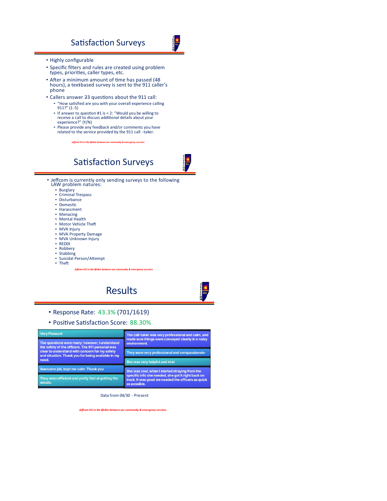## Satisfaction Surveys

- Highly configurable
- Specific filters and rules are created using problem types, priorities, caller types, etc.
- After a minimum amount of time has passed (48 hours), a text based survey is sent to the 911 caller's phone
- Callers answer 23 questions about the 911 call: ⁃ "How sa�sfied are you with your overall experience calling 911?" (1-5)
	- ⁃ If answer to ques�on #1 is < 2: "Would you be willing to receive a call to discuss addi�onal details about your experience?" (Y/N)
	- ⁃ Please provide any feedback and/or comments you have related to the service provided by the 911 call -taker.

*Jeffcom 911 is the lifeline between our community & emergency services* 





• Jeffcom is currently only sending surveys to the following LAW problem natures:

- ⁃ Burglary
- ⁃ Criminal Trespass
- ⁃ Disturbance
- ⁃ Domes�c
- ⁃ Harassment
- ⁃ Menacing ⁃ Mental Health
- Motor Vehicle Theft
- 
- ⁃ MVA Injury ⁃ MVA Property Damage
- ⁃ MVA Unknown Injury
- ⁃ REDDI
- ⁃ Robbery
- ⁃ Stabbing ⁃ Suicidal Person/A�empt
- ⁃ The�
- 

*Jeffcom 911 is the lifeline between our community & emergency services* 

Results

- Response Rate: 43.3% (701/1619)
- Positive Satisfaction Score: 88.30%

| <b>Very Pleasant</b>                                                                                                                                                                                                | The call-taker was very professional and calm, and                                                                                                                         |
|---------------------------------------------------------------------------------------------------------------------------------------------------------------------------------------------------------------------|----------------------------------------------------------------------------------------------------------------------------------------------------------------------------|
| The questions were many: however, I understand<br>the safety of the officers. The 911 personal was<br>clear to understand with concern for my safety<br>and situation. Thank you for being available in my<br>need. | made sure things were conveyed clearly in a noisy<br>environment.                                                                                                          |
|                                                                                                                                                                                                                     | They were very professional and compassionate                                                                                                                              |
|                                                                                                                                                                                                                     | She was very helpful and kind                                                                                                                                              |
| Awesome job, kept me calm. Thank you                                                                                                                                                                                | She was cool, when I started straying from the<br>specific info she needed, she got it right back on<br>track. It was good we needed the officers as quick<br>as possible. |
| They were efficient and pretty fast at getting the<br>details.                                                                                                                                                      |                                                                                                                                                                            |

Data from 04/30 - Present

*Jeffcom 911 is the lifeline between our community & emergency services*